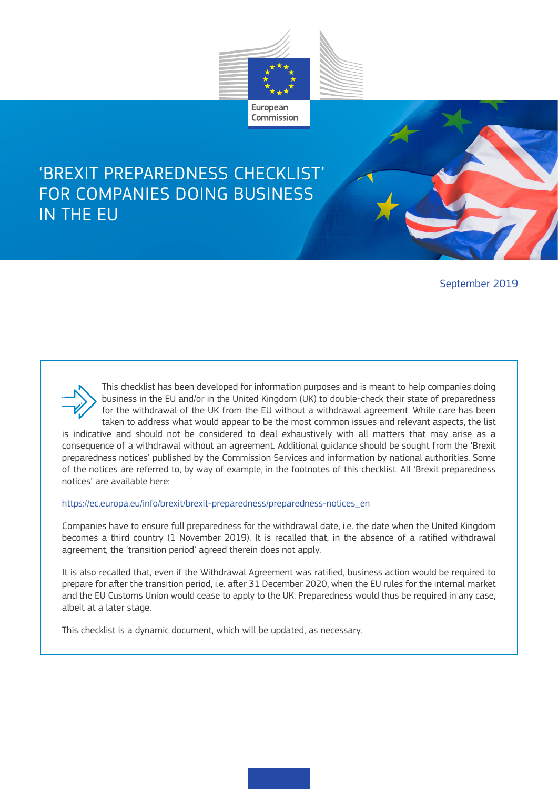

# 'BREXIT PREPAREDNESS CHECKLIST' FOR COMPANIES DOING BUSINESS IN THE EU

September 2019



This checklist has been developed for information purposes and is meant to help companies doing business in the EU and/or in the United Kingdom (UK) to double-check their state of preparedness for the withdrawal of the UK from the EU without a withdrawal agreement. While care has been taken to address what would appear to be the most common issues and relevant aspects, the list

is indicative and should not be considered to deal exhaustively with all matters that may arise as a consequence of a withdrawal without an agreement. Additional guidance should be sought from the 'Brexit preparedness notices' published by the Commission Services and information by national authorities. Some of the notices are referred to, by way of example, in the footnotes of this checklist. All 'Brexit preparedness notices' are available here:

https://ec.europa.eu/info/brexit/brexit-preparedness/preparedness-notices\_en

Companies have to ensure full preparedness for the withdrawal date, i.e. the date when the United Kingdom becomes a third country (1 November 2019). It is recalled that, in the absence of a ratified withdrawal agreement, the 'transition period' agreed therein does not apply.

It is also recalled that, even if the Withdrawal Agreement was ratified, business action would be required to prepare for after the transition period, i.e. after 31 December 2020, when the EU rules for the internal market and the EU Customs Union would cease to apply to the UK. Preparedness would thus be required in any case, albeit at a later stage.

This checklist is a dynamic document, which will be updated, as necessary.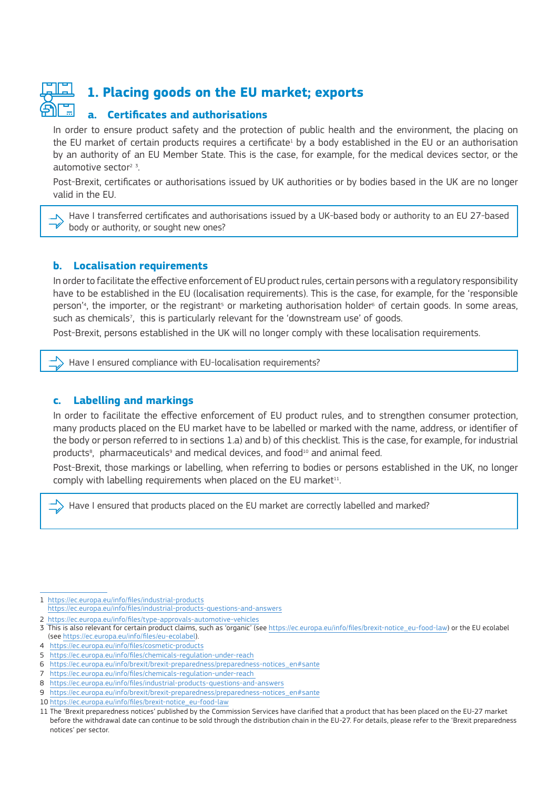

# **1. Placing goods on the EU market; exports**

#### **a. Certificates and authorisations**

In order to ensure product safety and the protection of public health and the environment, the placing on the EU market of certain products requires a certificate<sup>1</sup> by a body established in the EU or an authorisation by an authority of an EU Member State. This is the case, for example, for the medical devices sector, or the automotive sector<sup>2  $3$ </sup>. .

Post-Brexit, certificates or authorisations issued by UK authorities or by bodies based in the UK are no longer valid in the EU.

Have I transferred certificates and authorisations issued by a UK-based body or authority to an EU 27-based  $\overline{N}$ body or authority, or sought new ones?

#### **b. Localisation requirements**

In order to facilitate the effective enforcement of EU product rules, certain persons with a regulatory responsibility have to be established in the EU (localisation requirements). This is the case, for example, for the 'responsible person'<sup>4</sup>, the importer, or the registrant<sup>s</sup> or marketing authorisation holder<sup>6</sup> of certain goods. In some areas, such as chemicals<sup>7</sup> , this is particularly relevant for the 'downstream use' of goods.

Post-Brexit, persons established in the UK will no longer comply with these localisation requirements.

Have I ensured compliance with EU-localisation requirements?

#### **c. Labelling and markings**

In order to facilitate the effective enforcement of EU product rules, and to strengthen consumer protection, many products placed on the EU market have to be labelled or marked with the name, address, or identifier of the body or person referred to in sections 1.a) and b) of this checklist. This is the case, for example, for industrial products<sup>8</sup>, pharmaceuticals<sup>9</sup> and medical devices, and food<sup>10</sup> and animal feed.

Post-Brexit, those markings or labelling, when referring to bodies or persons established in the UK, no longer comply with labelling requirements when placed on the EU market<sup>11</sup>.

Have I ensured that products placed on the EU market are correctly labelled and marked?

1 https://ec.europa.eu/info/files/industrial-products https://ec.europa.eu/info/files/industrial-products-questions-and-answers

2 https://ec.europa.eu/info/files/type-approvals-automotive-vehicles

- 3 This is also relevant for certain product claims, such as 'organic' (see https://ec.europa.eu/info/files/brexit-notice\_eu-food-law) or the EU ecolabel (see https://ec.europa.eu/info/files/eu-ecolabel).
- 4 https://ec.europa.eu/info/files/cosmetic-products

- 7 https://ec.europa.eu/info/files/chemicals-regulation-under-reach
- 8 https://ec.europa.eu/info/files/industrial-products-questions-and-answers
- 9 https://ec.europa.eu/info/brexit/brexit-preparedness/preparedness-notices\_en#sante
- 10 https://ec.europa.eu/info/files/brexit-notice\_eu-food-law

<sup>5</sup> https://ec.europa.eu/info/files/chemicals-regulation-under-reach

<sup>6</sup> https://ec.europa.eu/info/brexit/brexit-preparedness/preparedness-notices\_en#sante

<sup>11</sup> The 'Brexit preparedness notices' published by the Commission Services have clarified that a product that has been placed on the EU-27 market before the withdrawal date can continue to be sold through the distribution chain in the EU-27. For details, please refer to the 'Brexit preparedness notices' per sector.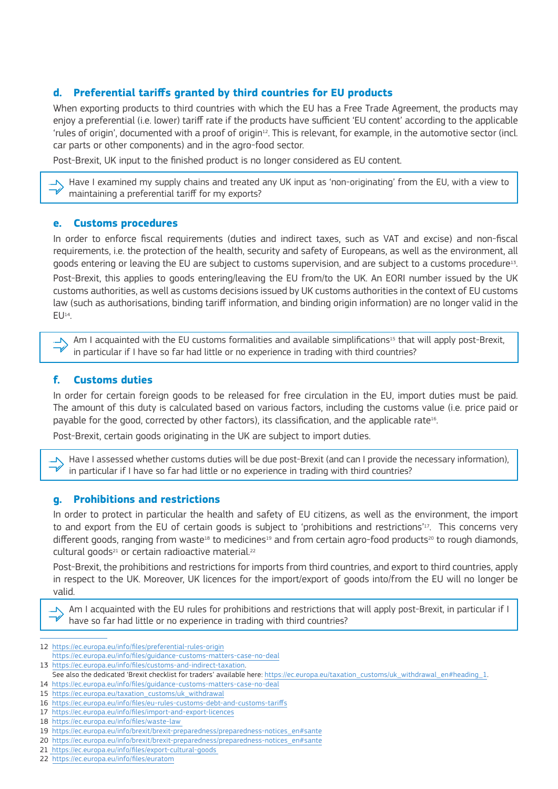# **d. Preferential tariffs granted by third countries for EU products**

When exporting products to third countries with which the EU has a Free Trade Agreement, the products may enjoy a preferential (i.e. lower) tariff rate if the products have sufficient 'EU content' according to the applicable 'rules of origin', documented with a proof of origin<sup>12</sup>. This is relevant, for example, in the automotive sector (incl. car parts or other components) and in the agro-food sector.

Post-Brexit, UK input to the finished product is no longer considered as EU content.

Have I examined my supply chains and treated any UK input as 'non-originating' from the EU, with a view to maintaining a preferential tariff for my exports?

#### **e. Customs procedures**

V

In order to enforce fiscal requirements (duties and indirect taxes, such as VAT and excise) and non-fiscal requirements, i.e. the protection of the health, security and safety of Europeans, as well as the environment, all goods entering or leaving the EU are subject to customs supervision, and are subject to a customs procedure13. Post-Brexit, this applies to goods entering/leaving the EU from/to the UK. An EORI number issued by the UK customs authorities, as well as customs decisions issued by UK customs authorities in the context of EU customs law (such as authorisations, binding tariff information, and binding origin information) are no longer valid in the  $EU<sup>14</sup>$ .

Am I acquainted with the EU customs formalities and available simplifications<sup>15</sup> that will apply post-Brexit,  $\overline{N}$ in particular if I have so far had little or no experience in trading with third countries?

#### **f. Customs duties**

In order for certain foreign goods to be released for free circulation in the EU, import duties must be paid. The amount of this duty is calculated based on various factors, including the customs value (i.e. price paid or payable for the good, corrected by other factors), its classification, and the applicable rate16.

Post-Brexit, certain goods originating in the UK are subject to import duties.

Have I assessed whether customs duties will be due post-Brexit (and can I provide the necessary information), in particular if I have so far had little or no experience in trading with third countries?

#### **g. Prohibitions and restrictions**

In order to protect in particular the health and safety of EU citizens, as well as the environment, the import to and export from the EU of certain goods is subject to 'prohibitions and restrictions'17. This concerns very different goods, ranging from waste<sup>18</sup> to medicines<sup>19</sup> and from certain agro-food products<sup>20</sup> to rough diamonds, cultural goods<sup>21</sup> or certain radioactive material.<sup>22</sup>

Post-Brexit, the prohibitions and restrictions for imports from third countries, and export to third countries, apply in respect to the UK. Moreover, UK licences for the import/export of goods into/from the EU will no longer be valid.

Am I acquainted with the EU rules for prohibitions and restrictions that will apply post-Brexit, in particular if I have so far had little or no experience in trading with third countries?

21 https://ec.europa.eu/info/files/export-cultural-goods

<sup>12</sup> https://ec.europa.eu/info/files/preferential-rules-origin

https://ec.europa.eu/info/files/guidance-customs-matters-case-no-deal

<sup>13</sup> https://ec.europa.eu/info/files/customs-and-indirect-taxation.

See also the dedicated 'Brexit checklist for traders' available here: https://ec.europa.eu/taxation\_customs/uk\_withdrawal\_en#heading\_1. 14 https://ec.europa.eu/info/files/guidance-customs-matters-case-no-deal

<sup>15</sup> https://ec.europa.eu/taxation\_customs/uk\_withdrawal

<sup>16</sup> https://ec.europa.eu/info/files/eu-rules-customs-debt-and-customs-tariffs

<sup>17</sup> https://ec.europa.eu/info/files/import-and-export-licences

<sup>18</sup> https://ec.europa.eu/info/files/waste-law

<sup>19</sup> https://ec.europa.eu/info/brexit/brexit-preparedness/preparedness-notices\_en#sante

<sup>20</sup> https://ec.europa.eu/info/brexit/brexit-preparedness/preparedness-notices\_en#sante

<sup>22</sup> https://ec.europa.eu/info/files/euratom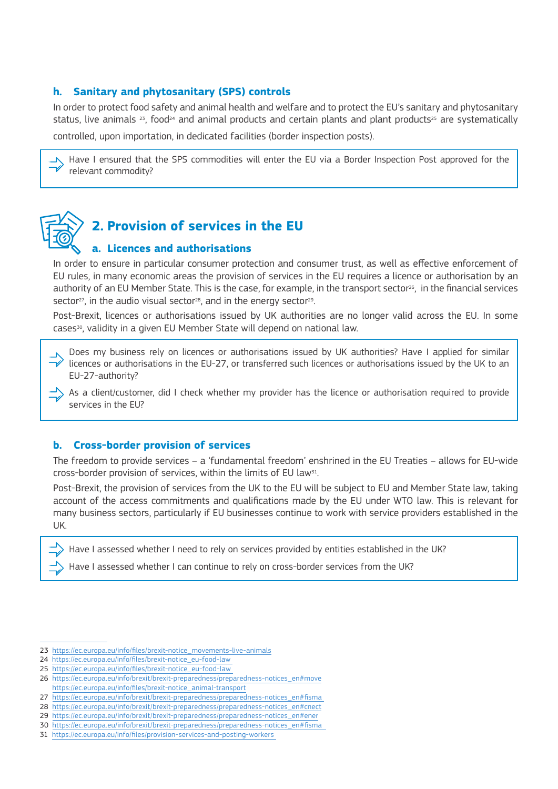### **h. Sanitary and phytosanitary (SPS) controls**

In order to protect food safety and animal health and welfare and to protect the EU's sanitary and phytosanitary status, live animals  $23$ , food<sup>24</sup> and animal products and certain plants and plant products<sup>25</sup> are systematically

controlled, upon importation, in dedicated facilities (border inspection posts).

Have I ensured that the SPS commodities will enter the EU via a Border Inspection Post approved for the relevant commodity?



# **2. Provision of services in the EU**

#### **a. Licences and authorisations**

In order to ensure in particular consumer protection and consumer trust, as well as effective enforcement of EU rules, in many economic areas the provision of services in the EU requires a licence or authorisation by an authority of an EU Member State. This is the case, for example, in the transport sector<sup>26</sup>, in the financial services sector<sup>27</sup>, in the audio visual sector<sup>28</sup>, and in the energy sector<sup>29</sup>.

Post-Brexit, licences or authorisations issued by UK authorities are no longer valid across the EU. In some cases30, validity in a given EU Member State will depend on national law.

Does my business rely on licences or authorisations issued by UK authorities? Have I applied for similar licences or authorisations in the EU-27, or transferred such licences or authorisations issued by the UK to an EU-27-authority?

As a client/customer, did I check whether my provider has the licence or authorisation required to provide services in the EU?

#### **b. Cross-border provision of services**

The freedom to provide services – a 'fundamental freedom' enshrined in the EU Treaties – allows for EU-wide cross-border provision of services, within the limits of EU law31.

Post-Brexit, the provision of services from the UK to the EU will be subject to EU and Member State law, taking account of the access commitments and qualifications made by the EU under WTO law. This is relevant for many business sectors, particularly if EU businesses continue to work with service providers established in the UK.

Have I assessed whether I need to rely on services provided by entities established in the UK?

Have I assessed whether I can continue to rely on cross-border services from the UK?

25 https://ec.europa.eu/info/files/brexit-notice\_eu-food-law

31 https://ec.europa.eu/info/files/provision-services-and-posting-workers

<sup>23</sup> https://ec.europa.eu/info/files/brexit-notice\_movements-live-animals

<sup>24</sup> https://ec.europa.eu/info/files/brexit-notice\_eu-food-law

<sup>26</sup> https://ec.europa.eu/info/brexit/brexit-preparedness/preparedness-notices\_en#move https://ec.europa.eu/info/files/brexit-notice\_animal-transport

<sup>27</sup> https://ec.europa.eu/info/brexit/brexit-preparedness/preparedness-notices\_en#fisma

<sup>28</sup> https://ec.europa.eu/info/brexit/brexit-preparedness/preparedness-notices\_en#cnect

<sup>29</sup> https://ec.europa.eu/info/brexit/brexit-preparedness/preparedness-notices\_en#ener

<sup>30</sup> https://ec.europa.eu/info/brexit/brexit-preparedness/preparedness-notices\_en#fisma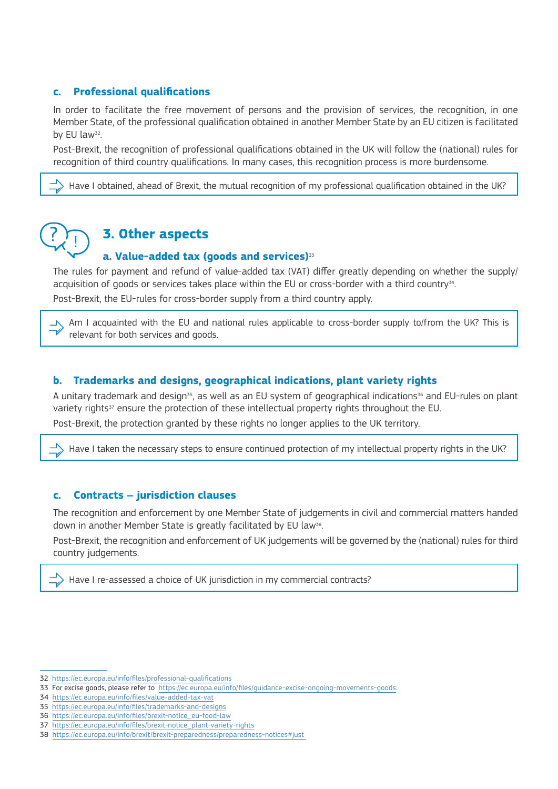# **c. Professional qualifications**

In order to facilitate the free movement of persons and the provision of services, the recognition, in one Member State, of the professional qualification obtained in another Member State by an EU citizen is facilitated by EU law<sup>32</sup>.

Post-Brexit, the recognition of professional qualifications obtained in the UK will follow the (national) rules for recognition of third country qualifications. In many cases, this recognition process is more burdensome.

Have I obtained, ahead of Brexit, the mutual recognition of my professional qualification obtained in the UK?



# **3. Other aspects**

# **a. Value-added tax (goods and services)**<sup>33</sup>

The rules for payment and refund of value-added tax (VAT) differ greatly depending on whether the supply/ acquisition of goods or services takes place within the EU or cross-border with a third country<sup>34</sup>. Post-Brexit, the EU-rules for cross-border supply from a third country apply.

Am I acquainted with the EU and national rules applicable to cross-border supply to/from the UK? This is relevant for both services and goods.

#### **b. Trademarks and designs, geographical indications, plant variety rights**

A unitary trademark and design<sup>35</sup>, as well as an EU system of geographical indications<sup>36</sup> and EU-rules on plant variety rights<sup>37</sup> ensure the protection of these intellectual property rights throughout the EU. Post-Brexit, the protection granted by these rights no longer applies to the UK territory.

Have I taken the necessary steps to ensure continued protection of my intellectual property rights in the UK?

# **c. Contracts – jurisdiction clauses**

The recognition and enforcement by one Member State of judgements in civil and commercial matters handed down in another Member State is greatly facilitated by EU law<sup>38</sup>.

Post-Brexit, the recognition and enforcement of UK judgements will be governed by the (national) rules for third country judgements.

Have I re-assessed a choice of UK jurisdiction in my commercial contracts?

<sup>32</sup> https://ec.europa.eu/info/files/professional-qualifications

<sup>33</sup> For excise goods, please refer to https://ec.europa.eu/info/files/guidance-excise-ongoing-movements-goods.

<sup>34</sup> https://ec.europa.eu/info/files/value-added-tax-vat

<sup>35</sup> https://ec.europa.eu/info/files/trademarks-and-designs

<sup>36</sup> https://ec.europa.eu/info/files/brexit-notice\_eu-food-law

<sup>37</sup> https://ec.europa.eu/info/files/brexit-notice\_plant-variety-rights

<sup>38</sup> https://ec.europa.eu/info/brexit/brexit-preparedness/preparedness-notices#just